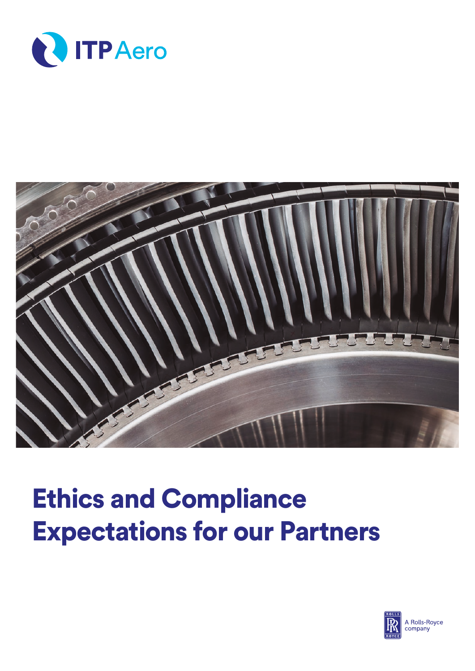



## Ethics and Compliance Expectations for our Partners

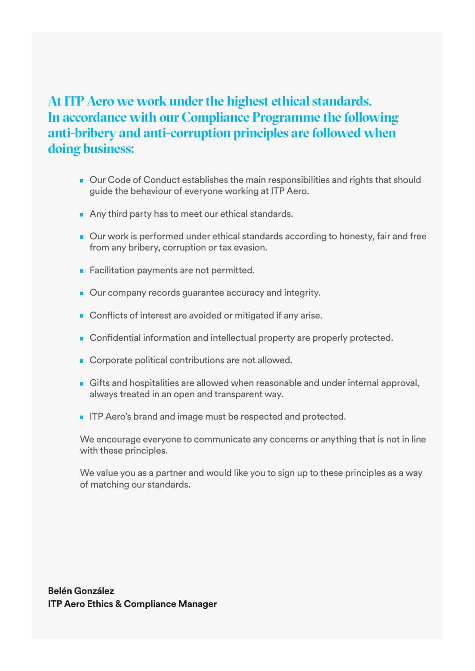## **At ITP Aero we work under the highest ethical standards. In accordance with our Compliance Programme the following anti-bribery and anti-corruption principles are followed when doing business:**

- Our Code of Conduct establishes the main responsibilities and rights that should guide the behaviour of everyone working at ITP Aero.
- Any third party has to meet our ethical standards.
- Our work is performed under ethical standards according to honesty, fair and free from any bribery, corruption or tax evasion.
- Facilitation payments are not permitted.
- Our company records guarantee accuracy and integrity.
- Conflicts of interest are avoided or mitigated if any arise.
- Confidential information and intellectual property are properly protected.
- Corporate political contributions are not allowed.
- Gifts and hospitalities are allowed when reasonable and under internal approval, always treated in an open and transparent way.
- **IFP Aero's brand and image must be respected and protected.**

We encourage everyone to communicate any concerns or anything that is not in line with these principles.

We value you as a partner and would like you to sign up to these principles as a way of matching our standards.

**Belén González ITP Aero Ethics & Compliance Manager**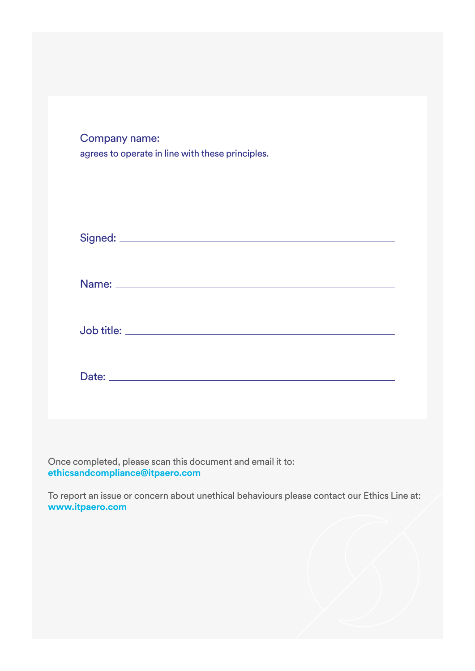| agrees to operate in line with these principles. |
|--------------------------------------------------|
|                                                  |
|                                                  |
|                                                  |
|                                                  |

Once completed, please scan this document and email it to: **ethicsandcompliance@itpaero.com**

To report an issue or concern about unethical behaviours please contact our Ethics Line at: **www.itpaero.com**